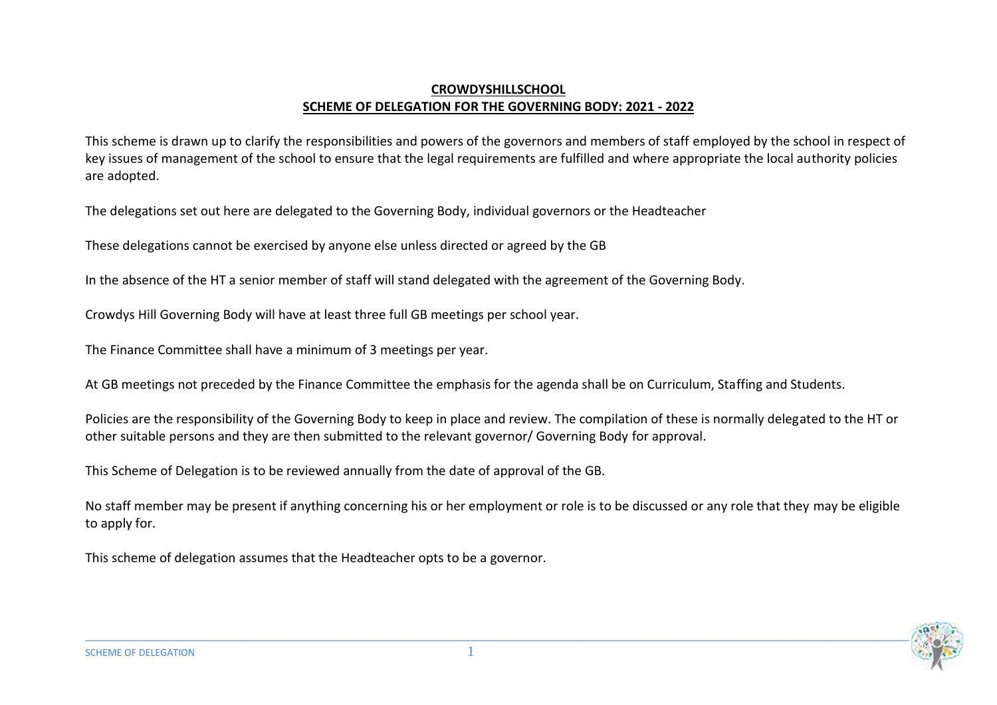## **CROWDYSHILLSCHOOL SCHEME OF DELEGATION FOR THE GOVERNING BODY: 2021 - 2022**

This scheme is drawn up to clarify the responsibilities and powers of the governors and members of staff employed by the school in respect of key issues of management of the school to ensure that the legal requirements are fulfilled and where appropriate the local authority policies are adopted.

The delegations set out here are delegated to the Governing Body, individual governors or the Headteacher

These delegations cannot be exercised by anyone else unless directed or agreed by the GB

In the absence of the HT a senior member of staff will stand delegated with the agreement of the Governing Body.

Crowdys Hill Governing Body will have at least three full GB meetings per school year.

The Finance Committee shall have a minimum of 3 meetings per year.

At GB meetings not preceded by the Finance Committee the emphasis for the agenda shall be on Curriculum, Staffing and Students.

Policies are the responsibility of the Governing Body to keep in place and review. The compilation of these is normally delegated to the HT or other suitable persons and they are then submitted to the relevant governor/ Governing Body for approval.

This Scheme of Delegation is to be reviewed annually from the date of approval of the GB.

No staff member may be present if anything concerning his or her employment or role is to be discussed or any role that they may be eligible to apply for.

This scheme of delegation assumes that the Headteacher opts to be a governor.

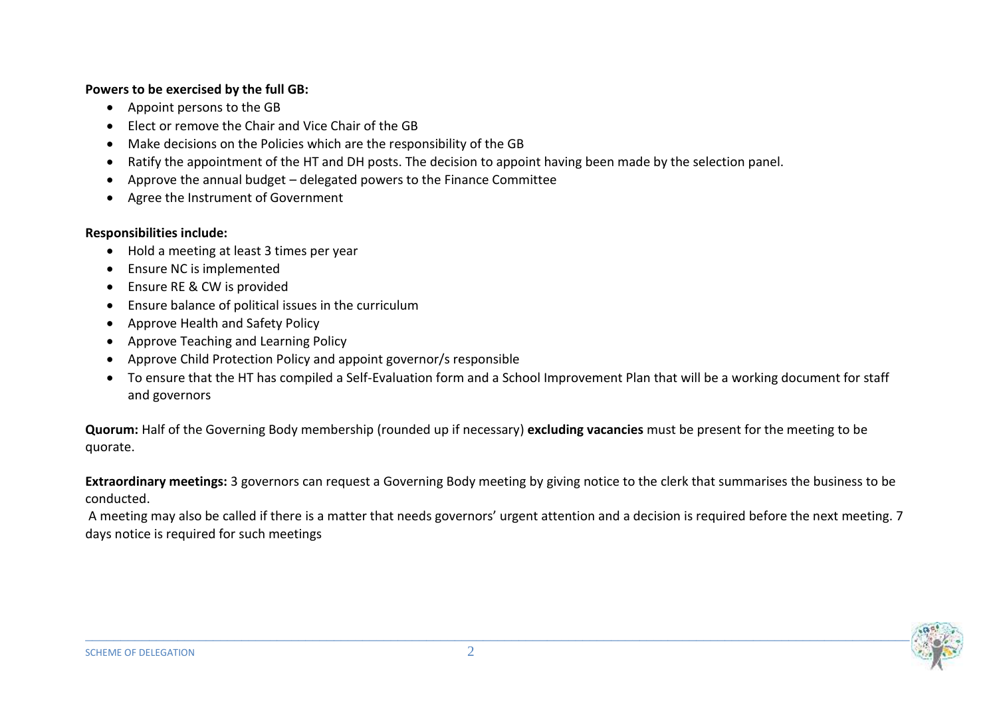## **Powers to be exercised by the full GB:**

- Appoint persons to the GB
- Elect or remove the Chair and Vice Chair of the GB
- Make decisions on the Policies which are the responsibility of the GB
- Ratify the appointment of the HT and DH posts. The decision to appoint having been made by the selection panel.
- Approve the annual budget delegated powers to the Finance Committee
- Agree the Instrument of Government

## **Responsibilities include:**

- Hold a meeting at least 3 times per year
- Ensure NC is implemented
- Ensure RE & CW is provided
- Ensure balance of political issues in the curriculum
- Approve Health and Safety Policy
- Approve Teaching and Learning Policy
- Approve Child Protection Policy and appoint governor/s responsible
- To ensure that the HT has compiled a Self-Evaluation form and a School Improvement Plan that will be a working document for staff and governors

**Quorum:** Half of the Governing Body membership (rounded up if necessary) **excluding vacancies** must be present for the meeting to be quorate.

**Extraordinary meetings:** 3 governors can request a Governing Body meeting by giving notice to the clerk that summarises the business to be conducted.

A meeting may also be called if there is a matter that needs governors' urgent attention and a decision is required before the next meeting. 7 days notice is required for such meetings

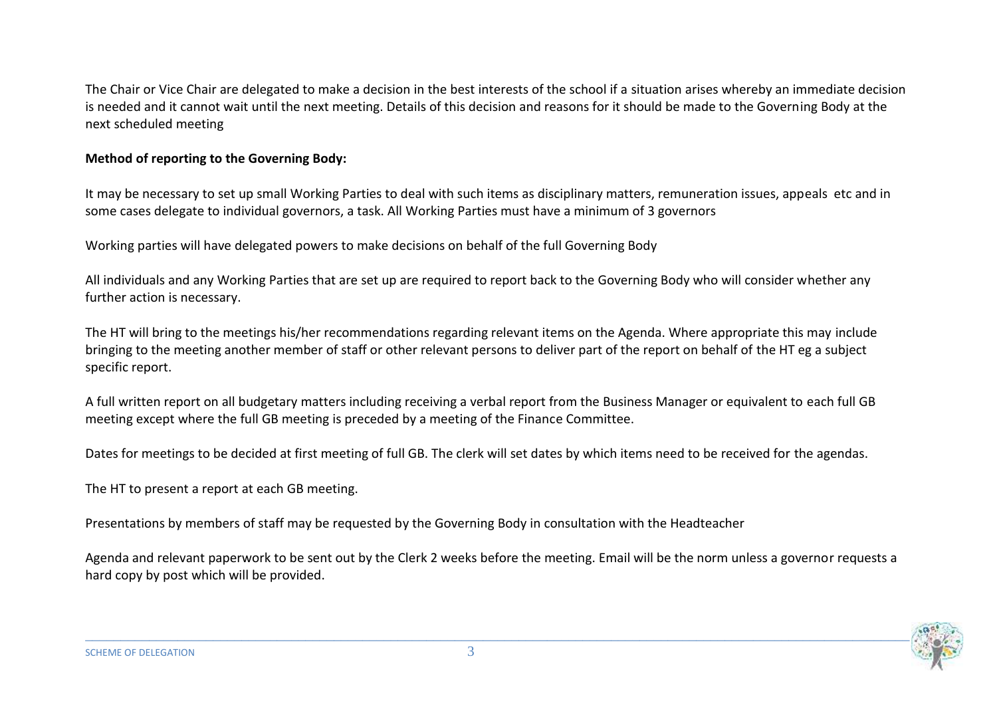The Chair or Vice Chair are delegated to make a decision in the best interests of the school if a situation arises whereby an immediate decision is needed and it cannot wait until the next meeting. Details of this decision and reasons for it should be made to the Governing Body at the next scheduled meeting

## **Method of reporting to the Governing Body:**

It may be necessary to set up small Working Parties to deal with such items as disciplinary matters, remuneration issues, appeals etc and in some cases delegate to individual governors, a task. All Working Parties must have a minimum of 3 governors

Working parties will have delegated powers to make decisions on behalf of the full Governing Body

All individuals and any Working Parties that are set up are required to report back to the Governing Body who will consider whether any further action is necessary.

The HT will bring to the meetings his/her recommendations regarding relevant items on the Agenda. Where appropriate this may include bringing to the meeting another member of staff or other relevant persons to deliver part of the report on behalf of the HT eg a subject specific report.

A full written report on all budgetary matters including receiving a verbal report from the Business Manager or equivalent to each full GB meeting except where the full GB meeting is preceded by a meeting of the Finance Committee.

Dates for meetings to be decided at first meeting of full GB. The clerk will set dates by which items need to be received for the agendas.

The HT to present a report at each GB meeting.

Presentations by members of staff may be requested by the Governing Body in consultation with the Headteacher

Agenda and relevant paperwork to be sent out by the Clerk 2 weeks before the meeting. Email will be the norm unless a governor requests a hard copy by post which will be provided.

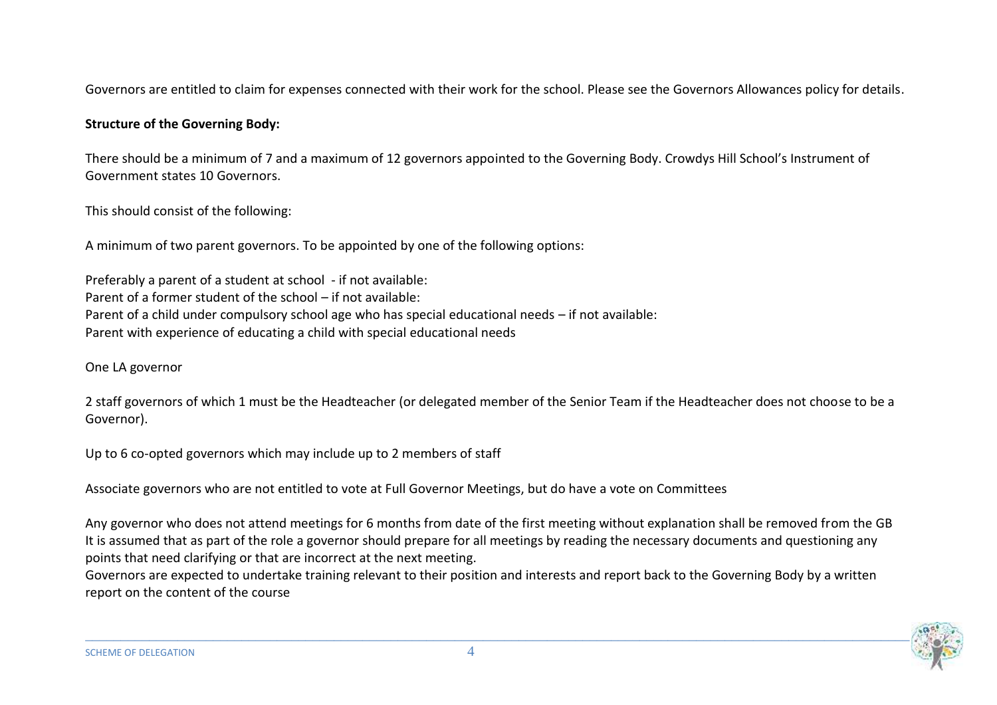Governors are entitled to claim for expenses connected with their work for the school. Please see the Governors Allowances policy for details.

# **Structure of the Governing Body:**

There should be a minimum of 7 and a maximum of 12 governors appointed to the Governing Body. Crowdys Hill School's Instrument of Government states 10 Governors.

This should consist of the following:

A minimum of two parent governors. To be appointed by one of the following options:

Preferably a parent of a student at school - if not available: Parent of a former student of the school – if not available: Parent of a child under compulsory school age who has special educational needs – if not available: Parent with experience of educating a child with special educational needs

One LA governor

2 staff governors of which 1 must be the Headteacher (or delegated member of the Senior Team if the Headteacher does not choose to be a Governor).

Up to 6 co-opted governors which may include up to 2 members of staff

Associate governors who are not entitled to vote at Full Governor Meetings, but do have a vote on Committees

Any governor who does not attend meetings for 6 months from date of the first meeting without explanation shall be removed from the GB It is assumed that as part of the role a governor should prepare for all meetings by reading the necessary documents and questioning any points that need clarifying or that are incorrect at the next meeting.

Governors are expected to undertake training relevant to their position and interests and report back to the Governing Body by a written report on the content of the course

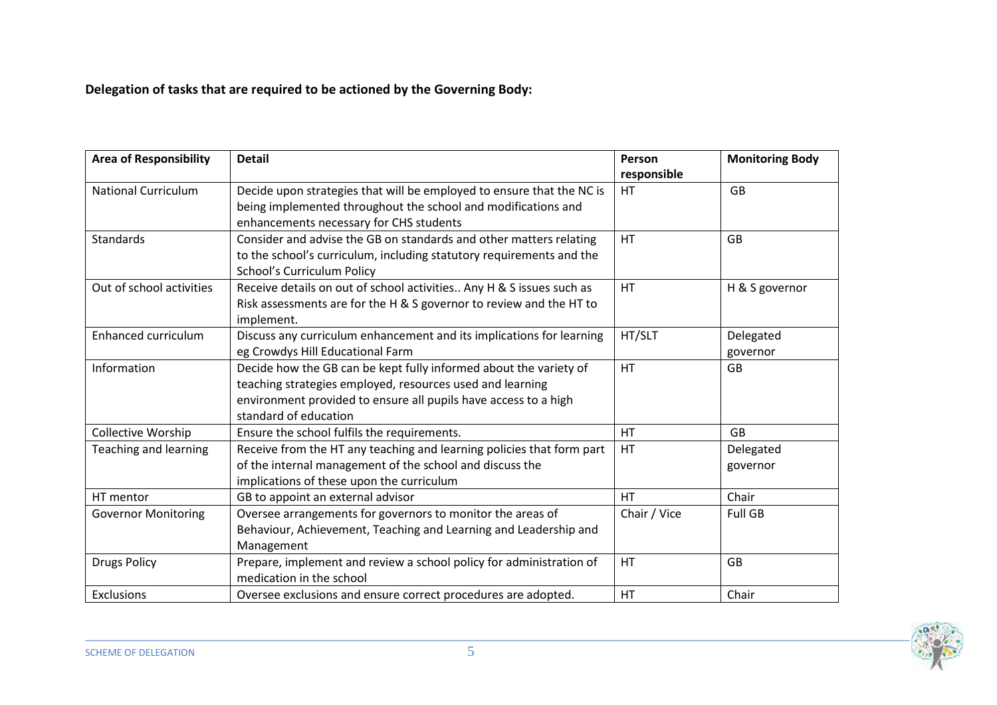**Delegation of tasks that are required to be actioned by the Governing Body:**

| <b>Area of Responsibility</b> | <b>Detail</b>                                                         | Person<br>responsible | <b>Monitoring Body</b> |
|-------------------------------|-----------------------------------------------------------------------|-----------------------|------------------------|
| <b>National Curriculum</b>    | Decide upon strategies that will be employed to ensure that the NC is | <b>HT</b>             | <b>GB</b>              |
|                               | being implemented throughout the school and modifications and         |                       |                        |
|                               | enhancements necessary for CHS students                               |                       |                        |
| <b>Standards</b>              | Consider and advise the GB on standards and other matters relating    | <b>HT</b>             | <b>GB</b>              |
|                               | to the school's curriculum, including statutory requirements and the  |                       |                        |
|                               | School's Curriculum Policy                                            |                       |                        |
| Out of school activities      | Receive details on out of school activities Any H & S issues such as  | <b>HT</b>             | H & S governor         |
|                               | Risk assessments are for the H & S governor to review and the HT to   |                       |                        |
|                               | implement.                                                            |                       |                        |
| Enhanced curriculum           | Discuss any curriculum enhancement and its implications for learning  | HT/SLT                | Delegated              |
|                               | eg Crowdys Hill Educational Farm                                      |                       | governor               |
| Information                   | Decide how the GB can be kept fully informed about the variety of     | <b>HT</b>             | <b>GB</b>              |
|                               | teaching strategies employed, resources used and learning             |                       |                        |
|                               | environment provided to ensure all pupils have access to a high       |                       |                        |
|                               | standard of education                                                 |                       |                        |
| Collective Worship            | Ensure the school fulfils the requirements.                           | <b>HT</b>             | <b>GB</b>              |
| <b>Teaching and learning</b>  | Receive from the HT any teaching and learning policies that form part | HT                    | Delegated              |
|                               | of the internal management of the school and discuss the              |                       | governor               |
|                               | implications of these upon the curriculum                             |                       |                        |
| HT mentor                     | GB to appoint an external advisor                                     | <b>HT</b>             | Chair                  |
| <b>Governor Monitoring</b>    | Oversee arrangements for governors to monitor the areas of            | Chair / Vice          | Full GB                |
|                               | Behaviour, Achievement, Teaching and Learning and Leadership and      |                       |                        |
|                               | Management                                                            |                       |                        |
| <b>Drugs Policy</b>           | Prepare, implement and review a school policy for administration of   | <b>HT</b>             | <b>GB</b>              |
|                               | medication in the school                                              |                       |                        |
| <b>Exclusions</b>             | Oversee exclusions and ensure correct procedures are adopted.         | HT                    | Chair                  |

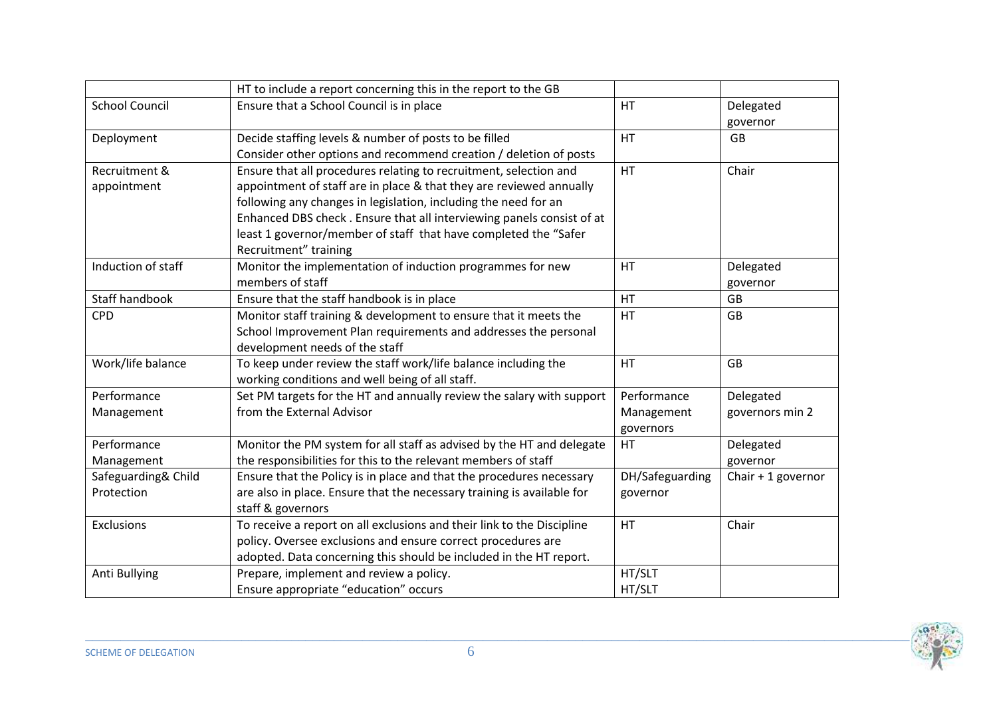|                       | HT to include a report concerning this in the report to the GB         |                 |                    |
|-----------------------|------------------------------------------------------------------------|-----------------|--------------------|
| <b>School Council</b> | Ensure that a School Council is in place                               | <b>HT</b>       | Delegated          |
|                       |                                                                        |                 | governor           |
| Deployment            | Decide staffing levels & number of posts to be filled                  | HT              | <b>GB</b>          |
|                       | Consider other options and recommend creation / deletion of posts      |                 |                    |
| Recruitment &         | Ensure that all procedures relating to recruitment, selection and      | HT              | Chair              |
| appointment           | appointment of staff are in place & that they are reviewed annually    |                 |                    |
|                       | following any changes in legislation, including the need for an        |                 |                    |
|                       | Enhanced DBS check. Ensure that all interviewing panels consist of at  |                 |                    |
|                       | least 1 governor/member of staff that have completed the "Safer        |                 |                    |
|                       | Recruitment" training                                                  |                 |                    |
| Induction of staff    | Monitor the implementation of induction programmes for new             | HT              | Delegated          |
|                       | members of staff                                                       |                 | governor           |
| <b>Staff handbook</b> | Ensure that the staff handbook is in place                             | <b>HT</b>       | <b>GB</b>          |
| <b>CPD</b>            | Monitor staff training & development to ensure that it meets the       | HT              | <b>GB</b>          |
|                       | School Improvement Plan requirements and addresses the personal        |                 |                    |
|                       | development needs of the staff                                         |                 |                    |
| Work/life balance     | To keep under review the staff work/life balance including the         | HT              | GB                 |
|                       | working conditions and well being of all staff.                        |                 |                    |
| Performance           | Set PM targets for the HT and annually review the salary with support  | Performance     | Delegated          |
| Management            | from the External Advisor                                              | Management      | governors min 2    |
|                       |                                                                        | governors       |                    |
| Performance           | Monitor the PM system for all staff as advised by the HT and delegate  | HT              | Delegated          |
| Management            | the responsibilities for this to the relevant members of staff         |                 | governor           |
| Safeguarding& Child   | Ensure that the Policy is in place and that the procedures necessary   | DH/Safeguarding | Chair + 1 governor |
| Protection            | are also in place. Ensure that the necessary training is available for | governor        |                    |
|                       | staff & governors                                                      |                 |                    |
| Exclusions            | To receive a report on all exclusions and their link to the Discipline | HT              | Chair              |
|                       | policy. Oversee exclusions and ensure correct procedures are           |                 |                    |
|                       | adopted. Data concerning this should be included in the HT report.     |                 |                    |
| Anti Bullying         | Prepare, implement and review a policy.                                | HT/SLT          |                    |
|                       | Ensure appropriate "education" occurs                                  | HT/SLT          |                    |

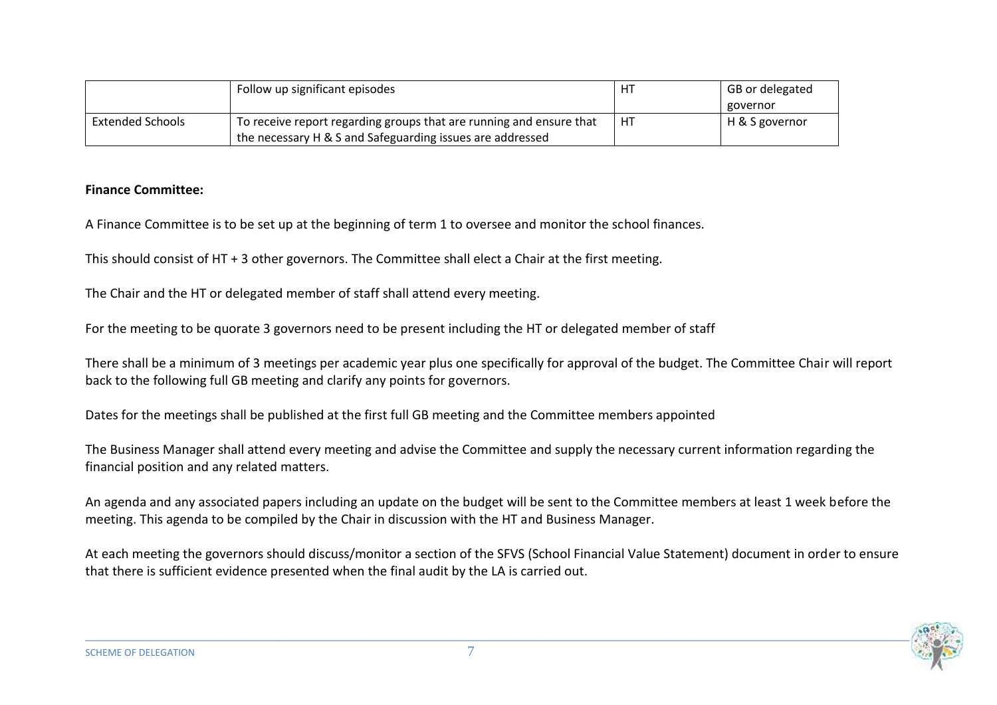|                         | Follow up significant episodes                                      | HT | GB or delegated |
|-------------------------|---------------------------------------------------------------------|----|-----------------|
|                         |                                                                     |    | governor        |
| <b>Extended Schools</b> | To receive report regarding groups that are running and ensure that | HT | H & S governor  |
|                         | the necessary H & S and Safeguarding issues are addressed           |    |                 |

#### **Finance Committee:**

A Finance Committee is to be set up at the beginning of term 1 to oversee and monitor the school finances.

This should consist of HT + 3 other governors. The Committee shall elect a Chair at the first meeting.

The Chair and the HT or delegated member of staff shall attend every meeting.

For the meeting to be quorate 3 governors need to be present including the HT or delegated member of staff

There shall be a minimum of 3 meetings per academic year plus one specifically for approval of the budget. The Committee Chair will report back to the following full GB meeting and clarify any points for governors.

Dates for the meetings shall be published at the first full GB meeting and the Committee members appointed

The Business Manager shall attend every meeting and advise the Committee and supply the necessary current information regarding the financial position and any related matters.

An agenda and any associated papers including an update on the budget will be sent to the Committee members at least 1 week before the meeting. This agenda to be compiled by the Chair in discussion with the HT and Business Manager.

At each meeting the governors should discuss/monitor a section of the SFVS (School Financial Value Statement) document in order to ensure that there is sufficient evidence presented when the final audit by the LA is carried out.

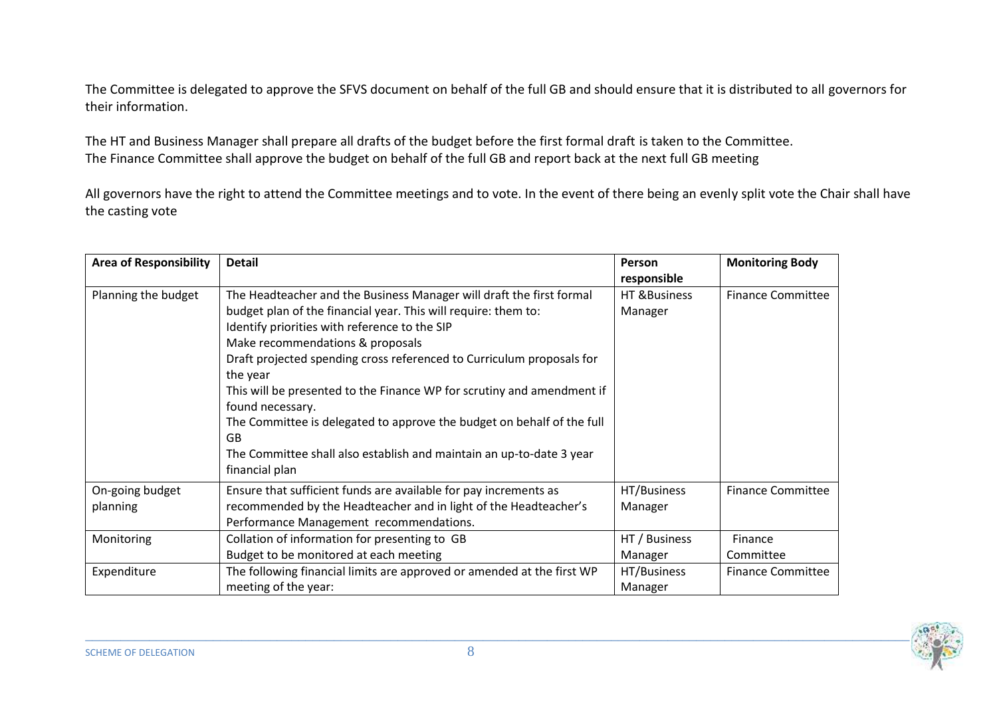The Committee is delegated to approve the SFVS document on behalf of the full GB and should ensure that it is distributed to all governors for their information.

The HT and Business Manager shall prepare all drafts of the budget before the first formal draft is taken to the Committee. The Finance Committee shall approve the budget on behalf of the full GB and report back at the next full GB meeting

All governors have the right to attend the Committee meetings and to vote. In the event of there being an evenly split vote the Chair shall have the casting vote

| <b>Area of Responsibility</b> | <b>Detail</b>                                                                                                                                                                                                                                                                                                                                                                                                                                                                                                                                                                                   | Person<br>responsible    | <b>Monitoring Body</b>   |
|-------------------------------|-------------------------------------------------------------------------------------------------------------------------------------------------------------------------------------------------------------------------------------------------------------------------------------------------------------------------------------------------------------------------------------------------------------------------------------------------------------------------------------------------------------------------------------------------------------------------------------------------|--------------------------|--------------------------|
| Planning the budget           | The Headteacher and the Business Manager will draft the first formal<br>budget plan of the financial year. This will require: them to:<br>Identify priorities with reference to the SIP<br>Make recommendations & proposals<br>Draft projected spending cross referenced to Curriculum proposals for<br>the year<br>This will be presented to the Finance WP for scrutiny and amendment if<br>found necessary.<br>The Committee is delegated to approve the budget on behalf of the full<br><b>GB</b><br>The Committee shall also establish and maintain an up-to-date 3 year<br>financial plan | HT & Business<br>Manager | <b>Finance Committee</b> |
| On-going budget<br>planning   | Ensure that sufficient funds are available for pay increments as<br>recommended by the Headteacher and in light of the Headteacher's<br>Performance Management recommendations.                                                                                                                                                                                                                                                                                                                                                                                                                 | HT/Business<br>Manager   | <b>Finance Committee</b> |
| Monitoring                    | Collation of information for presenting to GB<br>Budget to be monitored at each meeting                                                                                                                                                                                                                                                                                                                                                                                                                                                                                                         | HT / Business<br>Manager | Finance<br>Committee     |
| Expenditure                   | The following financial limits are approved or amended at the first WP<br>meeting of the year:                                                                                                                                                                                                                                                                                                                                                                                                                                                                                                  | HT/Business<br>Manager   | <b>Finance Committee</b> |

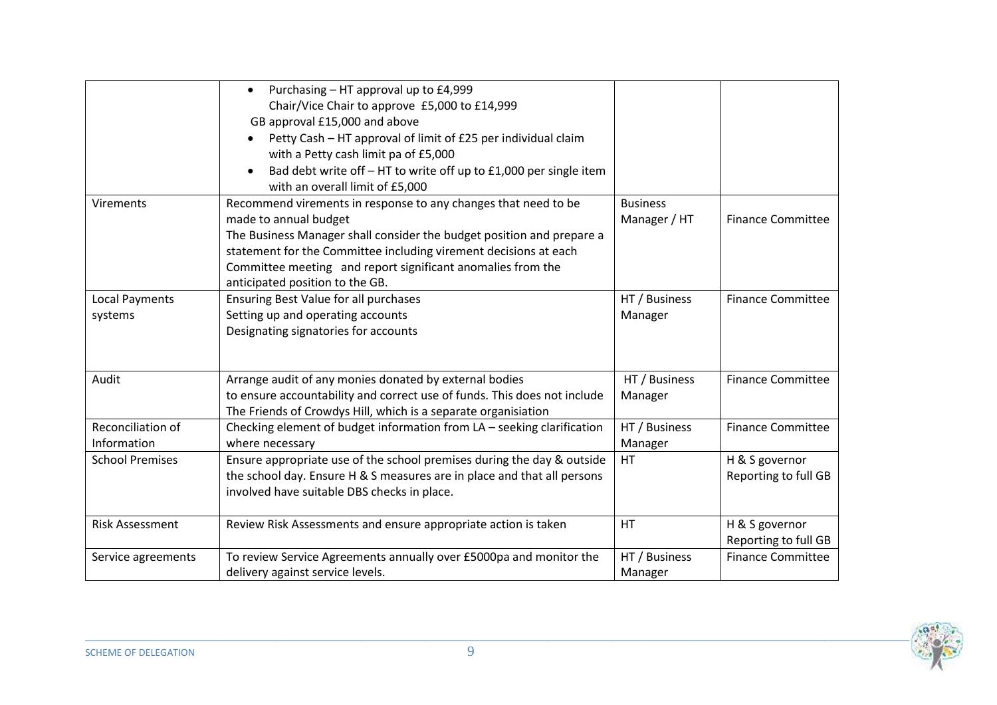|                        | Purchasing - HT approval up to £4,999<br>$\bullet$                             |                 |                          |
|------------------------|--------------------------------------------------------------------------------|-----------------|--------------------------|
|                        | Chair/Vice Chair to approve £5,000 to £14,999                                  |                 |                          |
|                        | GB approval £15,000 and above                                                  |                 |                          |
|                        | Petty Cash - HT approval of limit of £25 per individual claim                  |                 |                          |
|                        | with a Petty cash limit pa of £5,000                                           |                 |                          |
|                        | Bad debt write off - HT to write off up to £1,000 per single item<br>$\bullet$ |                 |                          |
|                        | with an overall limit of £5,000                                                |                 |                          |
| <b>Virements</b>       | Recommend virements in response to any changes that need to be                 | <b>Business</b> |                          |
|                        | made to annual budget                                                          | Manager / HT    | <b>Finance Committee</b> |
|                        | The Business Manager shall consider the budget position and prepare a          |                 |                          |
|                        | statement for the Committee including virement decisions at each               |                 |                          |
|                        | Committee meeting and report significant anomalies from the                    |                 |                          |
|                        | anticipated position to the GB.                                                |                 |                          |
| <b>Local Payments</b>  | Ensuring Best Value for all purchases                                          | HT / Business   | <b>Finance Committee</b> |
| systems                | Setting up and operating accounts                                              | Manager         |                          |
|                        | Designating signatories for accounts                                           |                 |                          |
|                        |                                                                                |                 |                          |
| Audit                  | Arrange audit of any monies donated by external bodies                         | HT / Business   | <b>Finance Committee</b> |
|                        | to ensure accountability and correct use of funds. This does not include       | Manager         |                          |
|                        | The Friends of Crowdys Hill, which is a separate organisiation                 |                 |                          |
| Reconciliation of      | Checking element of budget information from LA - seeking clarification         | HT / Business   | <b>Finance Committee</b> |
| Information            | where necessary                                                                | Manager         |                          |
| <b>School Premises</b> | Ensure appropriate use of the school premises during the day & outside         | HT              | H & S governor           |
|                        | the school day. Ensure H & S measures are in place and that all persons        |                 | Reporting to full GB     |
|                        | involved have suitable DBS checks in place.                                    |                 |                          |
|                        |                                                                                |                 |                          |
| <b>Risk Assessment</b> | Review Risk Assessments and ensure appropriate action is taken                 | HT              | H & S governor           |
|                        |                                                                                |                 | Reporting to full GB     |
| Service agreements     | To review Service Agreements annually over £5000pa and monitor the             | HT / Business   | <b>Finance Committee</b> |
|                        | delivery against service levels.                                               | Manager         |                          |